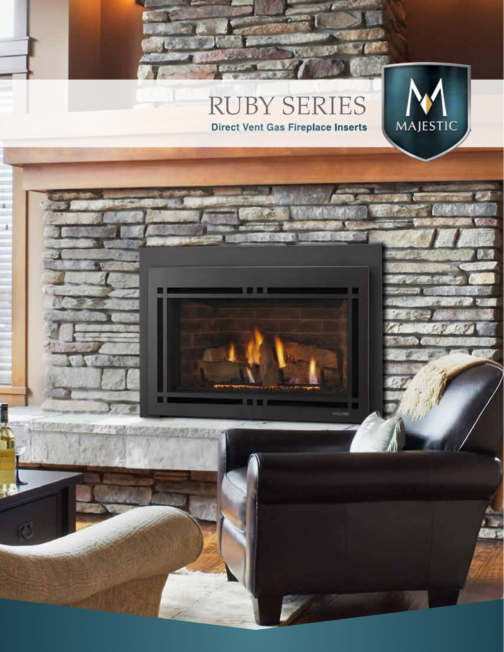# RUBY SERIES **Direct Vent Gas Fireplace Inserts**

W

wine

×

- 4

**地方机构** 

直面有排出

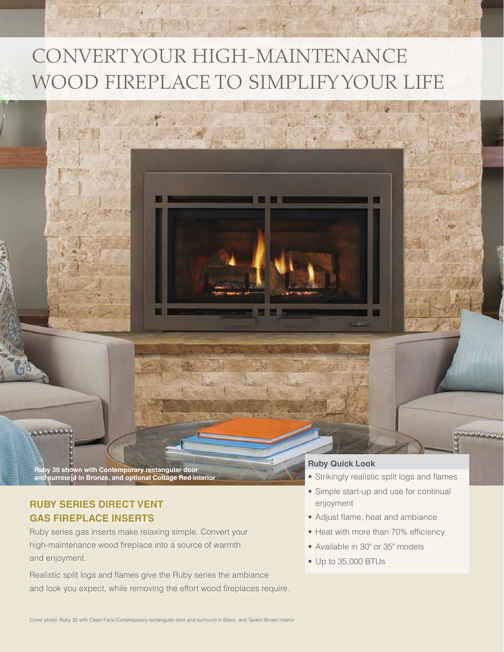# CONVERT YOUR HIGH-MAINTENANCE WOOD FIREPLACE TO SIMPLIFY YOUR LIFE

**Ruby 30 shown with Contemporary rectangular door and surround in Bronze, and optional Cottage Red interior**

# **RUBY SERIES DIRECT VENT GAS FIREPLACE INSERTS**

Ruby series gas inserts make relaxing simple. Convert your high-maintenance wood fireplace into a source of warmth and enjoyment.

Realistic split logs and flames give the Ruby series the ambiance and look you expect, while removing the effort wood fireplaces require.

#### **Ruby Quick Look**

- Strikingly realistic split logs and flames
- Simple start-up and use for continual enjoyment
- Adjust flame, heat and ambiance

W.

Silasm

- Heat with more than 70% efficiency
- Available in 30" or 35" models
- Up to 35,000 BTUs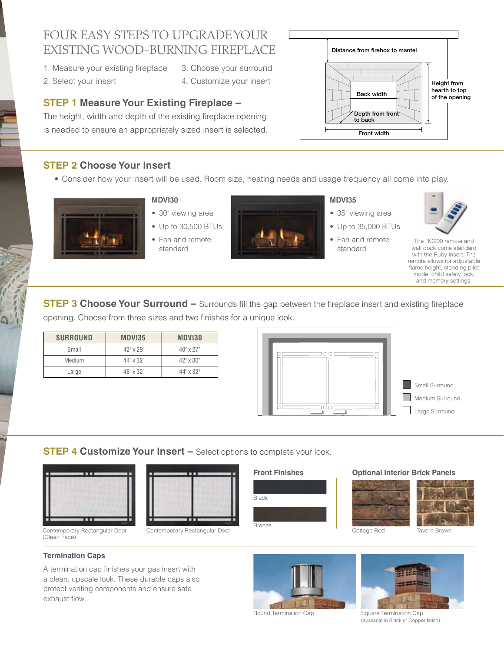# FOUR EASY STEPS TO UPGRADE YOUR EXISTING WOOD-BURNING FIREPLACE

- 1. Measure your existing fireplace 3. Choose your surround
- 2. Select your insert 4. Customize your insert
- -

# **STEP 1 Measure Your Existing Fireplace – Constrainery of the opening** of the opening

The height, width and depth of the existing fireplace opening is needed to ensure an appropriately sized insert is selected.

# **STEP 2 Choose Your Insert**

• Consider how your insert will be used. Room size, heating needs and usage frequency all come into play.



## **MDVI30**

- 30" viewing area
- Up to 30,500 BTUs • Fan and remote standard



#### **MDVI35**

- 35" viewing area
- Up to 35,000 BTUs

Distance from firebox to mantel

Back width

Depth from fron to back Front width

• Fan and remote standard



Height from hearth to top

The RC200 remote and wall dock come standard with the Ruby insert. The remote allows for adjustable flame height, standing pilot mode, child safety lock, and memory settings.

**STEP 3 Choose Your Surround –** Surrounds fill the gap between the fireplace insert and existing fireplace opening. Choose from three sizes and two finishes for a unique look.

| <b>SURROUND</b> | MDVI35           | MDVI30           |
|-----------------|------------------|------------------|
| Small           | $42" \times 29"$ | $40" \times 27"$ |
| Medium          | $44" \times 32"$ | $42" \times 30"$ |
| Large           | $48" \times 32"$ | $44" \times 32"$ |



**STEP 4 Customize Your Insert –** Select options to complete your look.



Contemporary Rectangular Door (Clean Face)



Contemporary Rectangular Door

#### **Front Finishes**



#### **Optional Interior Brick Panels**





### Tavern Brown

#### **Termination Caps**

A termination cap finishes your gas insert with a clean, upscale look. These durable caps also protect venting components and ensure safe exhaust flow.



Round Termination Cap Square Termination Cap (available in Black or Copper finish)